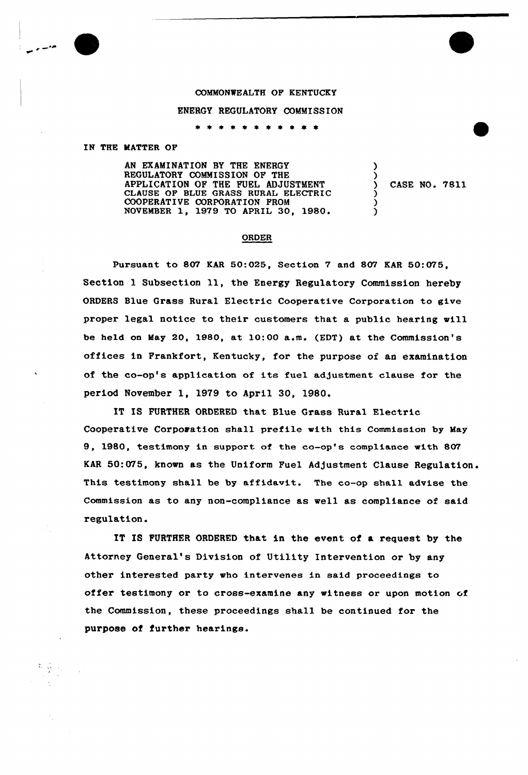COMMONWEALTH OF KENTUCKY

## ENERGY REGULATORY COMMISSION

\* \* \* \* \* \* \*

## IN THE MATTER OF

한 종 사

AN EXAMINATION BY THE ENERGY REGULATORY COMMISSION OF THE APPLICATION OP THE FUEL ADJUSTMENT CLAUSE OF BLUE GRASS RURAL ELECTRIC COOPERAT IVE CORPORAT ION FROM NOVEMBER 1, 1979 TO APRIL 30, 1980.

) CASE NO. 7811

)

 $\lambda$ 

) ) )

## ORDER

Pursuant to 807 KAR 50:025, Section 7 and 807 KAR 50:075, Section 1 Subsection 11, the Energy Regulatory Commission hereby ORDERS Blue Grass Rural Electric Cooperative Corporation to give proper legal notice to their customers that a public hearing will be held on May 20, 1980, at 10:00 a.m. (EDT) at the Commission's offices in Frankfort, Kentucky, for the purpose of. an examination of the co-op's application of its fuel adjustment clause for the period November 1, 1979 to April 30, 1980.

IT IS FURTHER ORDERED that Blue Grass Rural Electric Cooperative Corporation shall prefile with this Commission by May 9, 1980, testimony in support of the co-op's compliance with 807 KAR 50:075, known as the Uniform Fuel Adjustment Clause Regulation. This testimony shall be by affidavit. The co-op shall advise the Commission as to any non-compliance as well as compliance of said regulation.

IT IS FURTHER ORDERED that in the event of a request by the Attorney General's Division of Utility Intervention or by any other interested party who intervenes in said proceedings to offer testimony or to cross-examine any witness or upon motion of the Commission, these proceedings shall be continued for the purpose oi further hearings.